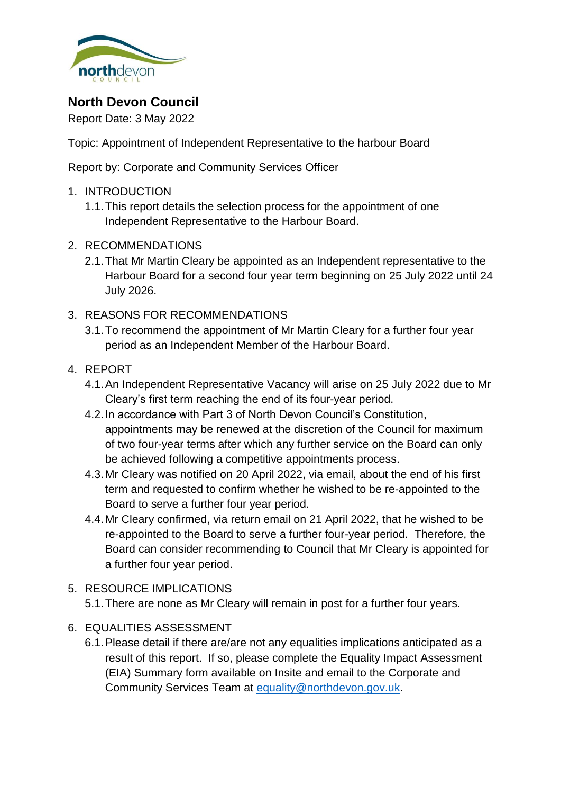

# **North Devon Council**

Report Date: 3 May 2022

Topic: Appointment of Independent Representative to the harbour Board

Report by: Corporate and Community Services Officer

- 1. INTRODUCTION
	- 1.1.This report details the selection process for the appointment of one Independent Representative to the Harbour Board.
- 2. RECOMMENDATIONS
	- 2.1.That Mr Martin Cleary be appointed as an Independent representative to the Harbour Board for a second four year term beginning on 25 July 2022 until 24 July 2026.
- 3. REASONS FOR RECOMMENDATIONS
	- 3.1.To recommend the appointment of Mr Martin Cleary for a further four year period as an Independent Member of the Harbour Board.
- 4. REPORT
	- 4.1.An Independent Representative Vacancy will arise on 25 July 2022 due to Mr Cleary's first term reaching the end of its four-year period.
	- 4.2.In accordance with Part 3 of North Devon Council's Constitution, appointments may be renewed at the discretion of the Council for maximum of two four-year terms after which any further service on the Board can only be achieved following a competitive appointments process.
	- 4.3.Mr Cleary was notified on 20 April 2022, via email, about the end of his first term and requested to confirm whether he wished to be re-appointed to the Board to serve a further four year period.
	- 4.4.Mr Cleary confirmed, via return email on 21 April 2022, that he wished to be re-appointed to the Board to serve a further four-year period. Therefore, the Board can consider recommending to Council that Mr Cleary is appointed for a further four year period.
- 5. RESOURCE IMPLICATIONS
	- 5.1.There are none as Mr Cleary will remain in post for a further four years.
- 6. EQUALITIES ASSESSMENT
	- 6.1.Please detail if there are/are not any equalities implications anticipated as a result of this report. If so, please complete the Equality Impact Assessment (EIA) Summary form available on Insite and email to the Corporate and Community Services Team at [equality@northdevon.gov.uk.](mailto:equality@northdevon.gov.uk)